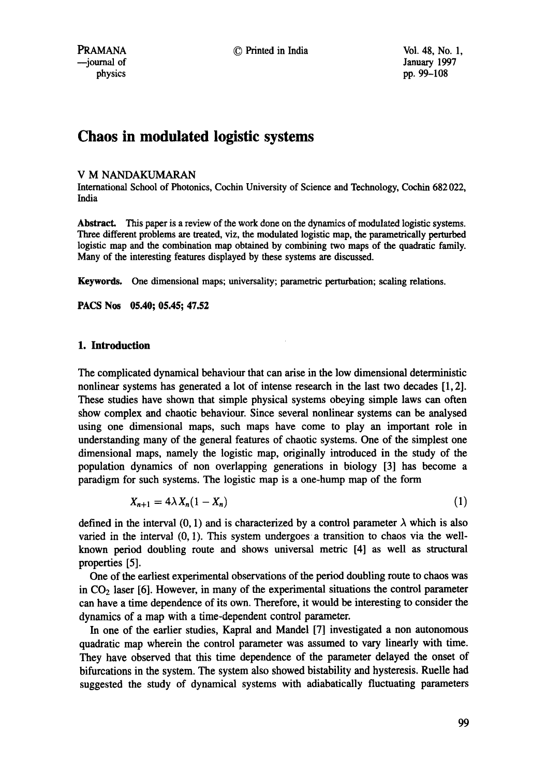# **Chaos in modulated logistic systems**

### V M NANDAKUMARAN

International School of Photonics, Cochin University of Science and Technology, Cochin 682 022, India

**Abstract.** This paper is a review of the work done on the dynamics of modulated logistic systems. Three different problems are treated, viz, the modulated logistic map, the parametrically perturbed logistic map and the combination map obtained by combining two maps of the quadratic family. Many of the interesting features displayed by these systems are discussed.

Keywords. One dimensional maps; universality; parametric perturbation; scaling relations.

**PACS Nos 05.40; 05.45; 47.52** 

### **1. Introduction**

The complicated dynamical behaviour that can arise in the low dimensional deterministic nonlinear systems has generated a lot of intense research in the last two decades [1, 2]. These studies have shown that simple physical systems obeying simple laws can often show complex and chaotic behaviour. Since several nonlinear systems can be analysed using one dimensional maps, such maps have come to play an important role in understanding many of the general features of chaotic systems. One of the simplest one dimensional maps, namely the logistic map, originally introduced in the study of the population dynamics of non overlapping generations in biology [3] has become a paradigm for such systems. The logistic map is a one-hump map of the form

$$
X_{n+1} = 4\lambda X_n(1 - X_n) \tag{1}
$$

defined in the interval (0, 1) and is characterized by a control parameter  $\lambda$  which is also varied in the interval (0, 1). This system undergoes a transition to chaos via the wellknown period doubling route and shows universal metric [4] as well as structural properties [5].

One of the earliest experimental observations of the period doubling route to chaos was in  $CO<sub>2</sub>$  laser [6]. However, in many of the experimental situations the control parameter can have a time dependence of its own. Therefore, it would be interesting to consider the dynamics of a map with a time-dependent control parameter.

In one of the earlier studies, Kapral and Mandel [7] investigated a non autonomous quadratic map wherein the control parameter was assumed to vary linearly with time. They have observed that this time dependence of the parameter delayed the onset of bifurcations in the system. The system also showed bistability and hysteresis. Ruelle had suggested the study of dynamical systems with adiabatically fluctuating parameters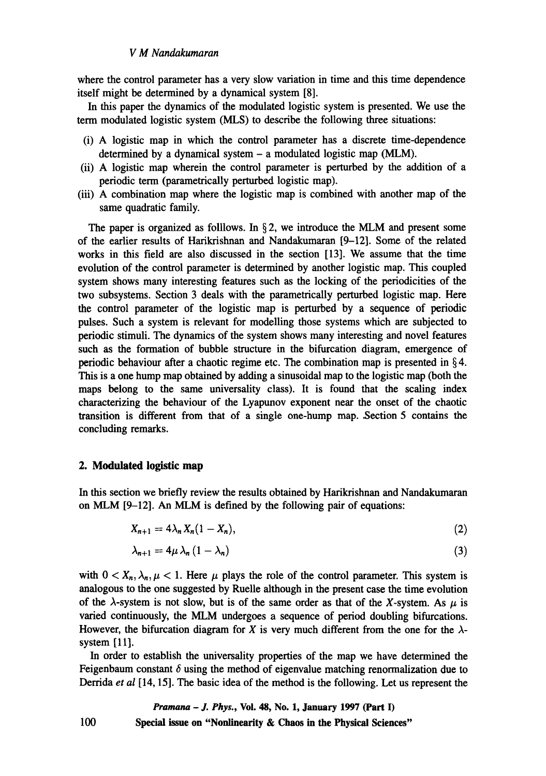## *V M Nandakumaran*

where the control parameter has a very slow variation in time and this time dependence itself might be determined by a dynamical system [8].

In this paper the dynamics of the modulated logistic system is presented. We use the term modulated logistic system (MLS) to describe the following three situations:

- (i) A logistic map in which the control parameter has a discrete time-dependence determined by a dynamical system - a modulated logistic map (MLM).
- (ii) A logistic map wherein the control parameter is perturbed by the addition of a periodic term (parametrically perturbed logistic map).
- (iii) A combination map where the logistic map is combined with another map of the same quadratic family.

The paper is organized as folllows. In  $\S$ 2, we introduce the MLM and present some of the earlier results of Harikrishnan and Nandakumaran [9-12]. Some of the related works in this field are also discussed in the section [13]. We assume that the time evolution of the control parameter is determined by another logistic map. This coupled system shows many interesting features such as the locking of the periodicities of the two subsystems. Section 3 deals with the parametrically perturbed logistic map. Here the control parameter of the logistic map is perturbed by a sequence of periodic pulses. Such a system is relevant for modelling those systems which are subjected to periodic stimuli. The dynamics of the system shows many interesting and novel features such as the formation of bubble structure in the bifurcation diagram, emergence of periodic behaviour after a chaotic regime etc. The combination map is presented in  $\S 4$ . This is a one hump map obtained by adding a sinusoidal map to the logistic map (both the maps belong to the same universality class). It is found that the scaling index characterizing the behaviour of the Lyapunov exponent near the onset of the chaotic transition is different from that of a single one-hump map. Section 5 contains the concluding remarks.

#### **2. Modulated logistic map**

In this section we briefly review the results obtained by Harikrishnan and Nandakumaran on MLM [9-12]. An MLM is defined by the following pair of equations:

$$
X_{n+1} = 4\lambda_n X_n (1 - X_n), \qquad (2)
$$

$$
\lambda_{n+1} = 4\mu \lambda_n (1 - \lambda_n) \tag{3}
$$

with  $0 < X_n, \lambda_n, \mu < 1$ . Here  $\mu$  plays the role of the control parameter. This system is analogous to the one suggested by Ruelle although in the present case the time evolution of the  $\lambda$ -system is not slow, but is of the same order as that of the X-system. As  $\mu$  is varied continuously, the MLM undergoes a sequence of period doubling bifurcations. However, the bifurcation diagram for X is very much different from the one for the  $\lambda$ system [11].

In order to establish the universality properties of the map we have determined the Feigenbaum constant  $\delta$  using the method of eigenvalue matching renormalization due to Derrida *et al* [14, 15]. The basic idea of the method is the following. Let us represent the

*Pramana - J. Phys.,* **Vol. 48, No. 1, January 1997 (Part I) 100 Special issue on "Nonlinearity & Chaos in the Physical Sciences"**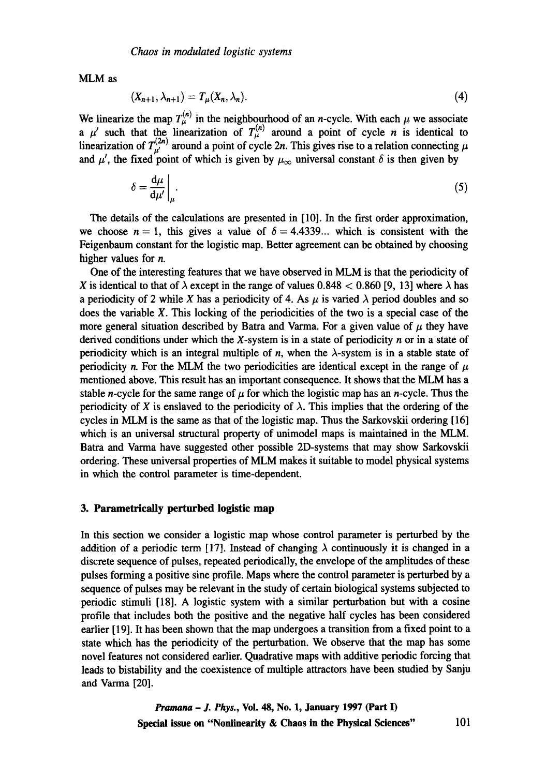MLM as

$$
(X_{n+1}, \lambda_{n+1}) = T_{\mu}(X_n, \lambda_n). \tag{4}
$$

We linearize the map  $T_{\mu}^{\prime\prime}$  in the neighbourhood of an *n*-cycle. With each  $\mu$  we associate a  $\mu'$  such that the linearization of  $T^{\mu'}_{\mu}$  around a point of cycle n is identical to linearization of  $T_{\mu}^{\mu\nu}$  around a point of cycle 2n. This gives rise to a relation connecting  $\mu$ and  $\mu'$ , the fixed point of which is given by  $\mu_{\infty}$  universal constant  $\delta$  is then given by

$$
\delta = \frac{d\mu}{d\mu'}\bigg|_{\mu}.\tag{5}
$$

The details of the calculations are presented in [10]. In the first order approximation, we choose  $n = 1$ , this gives a value of  $\delta = 4.4339...$  which is consistent with the Feigenbaum constant for the logistic map. Better agreement can be obtained by choosing higher values for n.

One of the interesting features that we have observed in MLM is that the periodicity of X is identical to that of  $\lambda$  except in the range of values 0.848 < 0.860 [9, 13] where  $\lambda$  has a periodicity of 2 while X has a periodicity of 4. As  $\mu$  is varied  $\lambda$  period doubles and so does the variable X. This locking of the periodicities of the two is a special case of the more general situation described by Batra and Varma. For a given value of  $\mu$  they have derived conditions under which the X-system is in a state of periodicity  $n$  or in a state of periodicity which is an integral multiple of n, when the  $\lambda$ -system is in a stable state of periodicity n. For the MLM the two periodicities are identical except in the range of  $\mu$ mentioned above. This result has an important consequence. It shows that the MLM has a stable *n*-cycle for the same range of  $\mu$  for which the logistic map has an *n*-cycle. Thus the periodicity of X is enslaved to the periodicity of  $\lambda$ . This implies that the ordering of the cycles in MLM is the same as that of the logistic map. Thus the Sarkovskii ordering [16] which is an universal structural property of unimodel maps is maintained in the MLM. Batra and Varma have suggested other possible 2D-systems that may show Sarkovskii ordering. These universal properties of MLM makes it suitable to model physical systems in which the control parameter is time-dependent.

#### **3. Parametrically perturbed logistic map**

In this section we consider a logistic map whose control parameter is perturbed by the addition of a periodic term [17]. Instead of changing  $\lambda$  continuously it is changed in a discrete sequence of pulses, repeated periodically, the envelope of the amplitudes of these pulses forming a positive sine profile. Maps where the control parameter is perturbed by a sequence of pulses may be relevant in the study of certain biological systems subjected to periodic stimuli [18]. A logistic system with a similar perturbation but with a cosine profile that includes both the positive and the negative half cycles has been considered earlier [19]. It has been shown that the map undergoes a transition from a fixed point to a state which has the periodicity of the perturbation. We observe that the map has some novel features not considered earlier. Quadrative maps with additive periodic forcing that leads to bistability and the coexistence of multiple attractors have been studied by Sanju and Varma [20].

> *Pramana - J. Phys.,* **Vol. 48, No. 1, January 1997 (Part I) Special issue on "Nonlinearity & Chaos in the Physical Sciences"** 101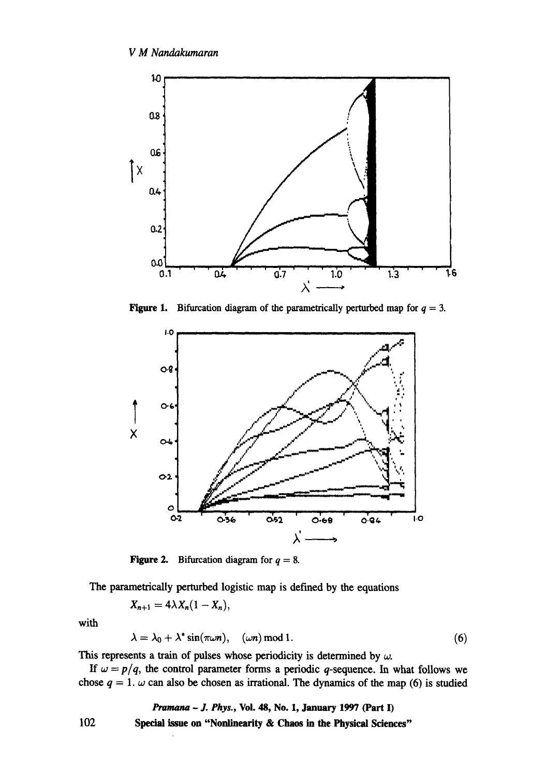

**Figure 1.** Bifurcation diagram of the parametrically perturbed map for  $q = 3$ .



**Figure 2.** Bifurcation diagram for  $q = 8$ .

The parametrically perturbed logistic map is defined by the equations

$$
X_{n+1}=4\lambda X_n(1-X_n),
$$

with

$$
\lambda = \lambda_0 + \lambda^* \sin(\pi \omega n), \quad (\omega n) \bmod 1. \tag{6}
$$

This represents a train of pulses whose periodicity is determined by  $\omega$ .

If  $\omega = p/q$ , the control parameter forms a periodic q-sequence. In what follows we chose  $q = 1$ . w can also be chosen as irrational. The dynamics of the map (6) is studied

*Prumana - J. Phys.,* Voi. 48, No. 1, January 1997 (Part I)

Special issue **on "Nonlinearity & Chaos in the Physical Sciences"** 

102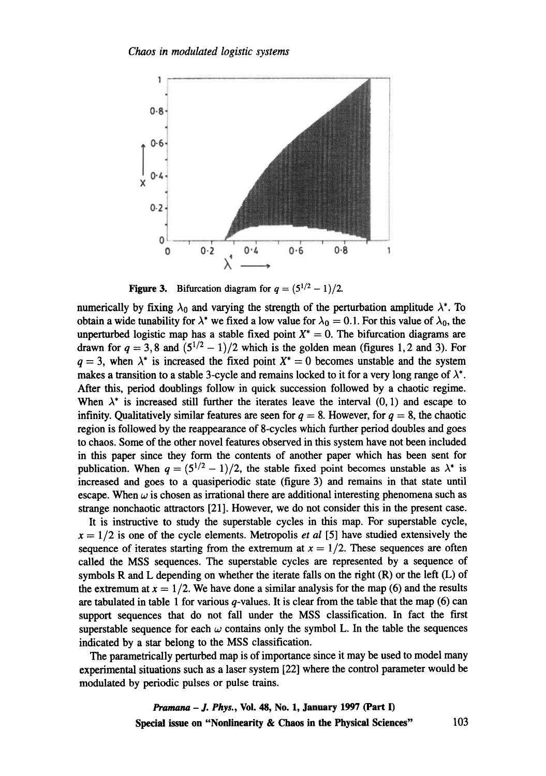

Figure 3. Bifurcation diagram for  $q = (5^{1/2} - 1)/2$ .

numerically by fixing  $\lambda_0$  and varying the strength of the perturbation amplitude  $\lambda^*$ . To obtain a wide tunability for  $\lambda^*$  we fixed a low value for  $\lambda_0 = 0.1$ . For this value of  $\lambda_0$ , the unperturbed logistic map has a stable fixed point  $X^* = 0$ . The bifurcation diagrams are drawn for  $q = 3, 8$  and  $(5^{1/2} - 1)/2$  which is the golden mean (figures 1, 2 and 3). For  $q = 3$ , when  $\lambda^*$  is increased the fixed point  $X^* = 0$  becomes unstable and the system makes a transition to a stable 3-cycle and remains locked to it for a very long range of  $\lambda^*$ . After this, period doublings follow in quick succession followed by a chaotic regime. When  $\lambda^*$  is increased still further the iterates leave the interval  $(0, 1)$  and escape to infinity. Qualitatively similar features are seen for  $q = 8$ . However, for  $q = 8$ , the chaotic region is followed by the reappearance of 8-cycles which further period doubles and goes to chaos. Some of the other novel features observed in this system have not been included in this paper since they form the contents of another paper which has been sent for publication. When  $q = (5^{1/2} - 1)/2$ , the stable fixed point becomes unstable as  $\lambda^*$  is increased and goes to a quasiperiodic state (figure 3) and remains in that state until escape. When  $\omega$  is chosen as irrational there are additional interesting phenomena such as strange nonchaotic attractors [21]. However, we do not consider this in the present case.

It is instructive to study the superstable cycles in this map. For superstable cycle,  $x = 1/2$  is one of the cycle elements. Metropolis *et al* [5] have studied extensively the sequence of iterates starting from the extremum at  $x = 1/2$ . These sequences are often called the MSS sequences. The superstable cycles are represented by a sequence of symbols R and L depending on whether the iterate falls on the right  $(R)$  or the left  $(L)$  of the extremum at  $x = 1/2$ . We have done a similar analysis for the map (6) and the results are tabulated in table 1 for various  $q$ -values. It is clear from the table that the map (6) can support sequences that do not fall under the MSS classification. In fact the first superstable sequence for each  $\omega$  contains only the symbol L. In the table the sequences indicated by a star belong to the MSS classification.

The parametrically perturbed map is of importance since it may be used to model many experimental situations such as a laser system [22] where the control parameter would be modulated by periodic pulses or pulse trains.

> *Pramana - J. Phys.,* **Vol. 48, No. 1, January 1997 (Part 1) Special issue on "Nonlinearity & Chaos in the Physical Sciences"** 103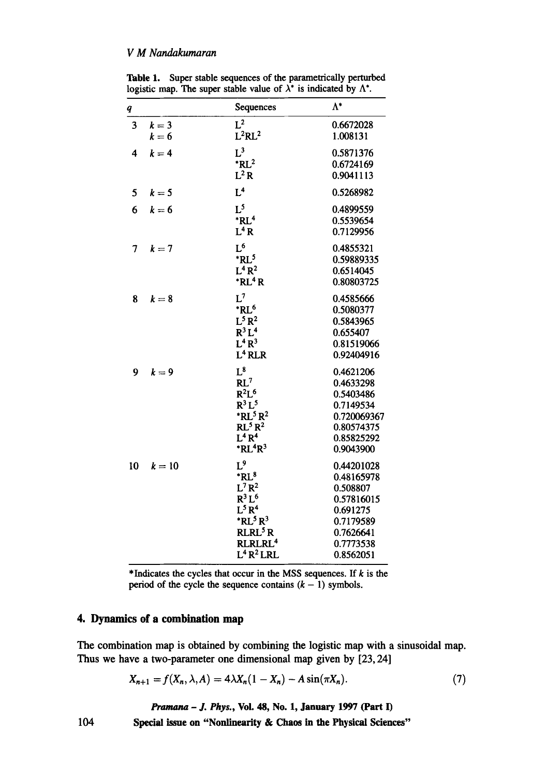## *V M Nandakumaran*

| q  |        | Sequences                          | $\Lambda^*$ |
|----|--------|------------------------------------|-------------|
| 3  | $k=3$  | $L^2$                              | 0.6672028   |
|    | $k=6$  | $L^2RL^2$                          | 1.008131    |
| 4  | $k=4$  | $L^3$                              | 0.5871376   |
|    |        | $*RL^2$                            | 0.6724169   |
|    |        | $L^2 R$                            | 0.9041113   |
| 5  | $k=5$  | L <sup>4</sup>                     | 0.5268982   |
| 6  | $k=6$  | L <sup>5</sup>                     | 0.4899559   |
|    |        | $*RL4$                             | 0.5539654   |
|    |        | $L^4 R$                            | 0.7129956   |
| 7  | $k=7$  | $L^6$                              | 0.4855321   |
|    |        | $*$ RL $5$                         | 0.59889335  |
|    |        | $L^4 R^2$                          | 0.6514045   |
|    |        | $*RL4R$                            | 0.80803725  |
| 8  | $k=8$  | $L^7$                              | 0.4585666   |
|    |        | *RL <sup>6</sup>                   | 0.5080377   |
|    |        | $L^5R^2$                           | 0.5843965   |
|    |        | $R^3L^4$                           | 0.655407    |
|    |        | $L^4R^3$                           | 0.81519066  |
|    |        | L <sup>4</sup> RLR                 | 0.92404916  |
| 9  | $k=9$  | $L^8$                              | 0.4621206   |
|    |        | RL <sup>7</sup>                    | 0.4633298   |
|    |        | $R^2L^6$                           | 0.5403486   |
|    |        | $R^3L^5$                           | 0.7149534   |
|    |        | $*$ RL <sup>5</sup> R <sup>2</sup> | 0.720069367 |
|    |        | RL <sup>5</sup> R <sup>2</sup>     | 0.80574375  |
|    |        | $L^4 R^4$                          | 0.85825292  |
|    |        | $*RL4R3$                           | 0.9043900   |
| 10 | $k=10$ | $L^9$                              | 0.44201028  |
|    |        | $*RL^8$                            | 0.48165978  |
|    |        | $L^7R^2$                           | 0.508807    |
|    |        | $R^3L^6$                           | 0.57816015  |
|    |        | $L^5 R^4$                          | 0.691275    |
|    |        | $*$ RL <sup>5</sup> R <sup>3</sup> | 0.7179589   |
|    |        | RLRL <sup>5</sup> R                | 0.7626641   |
|    |        | RLRLRL <sup>4</sup>                | 0.7773538   |
|    |        | $L^4R^2LRL$                        | 0.8562051   |
|    |        |                                    |             |

Table 1. Super stable sequences of the parametrically perturbed logistic map. The super stable value of  $\lambda^*$  is indicated by  $\Lambda^*$ .

\*Indicates the cycles that occur in the MSS sequences. If  $k$  is the period of the cycle the sequence contains  $(k - 1)$  symbols.

## **4. Dynamics of a combination map**

The combination map is obtained by combining the logistic map with a sinusoidal map. Thus we have a two-parameter one dimensional map given by [23, 24]

$$
X_{n+1} = f(X_n, \lambda, A) = 4\lambda X_n (1 - X_n) - A \sin(\pi X_n). \tag{7}
$$

*Pramana - J. Phys.,* **Vol. 48, No. 1, January** 1997 (Part **I)** 

**104 Special issue on "Nonlinearity & Chaos in the Physical Sciences"**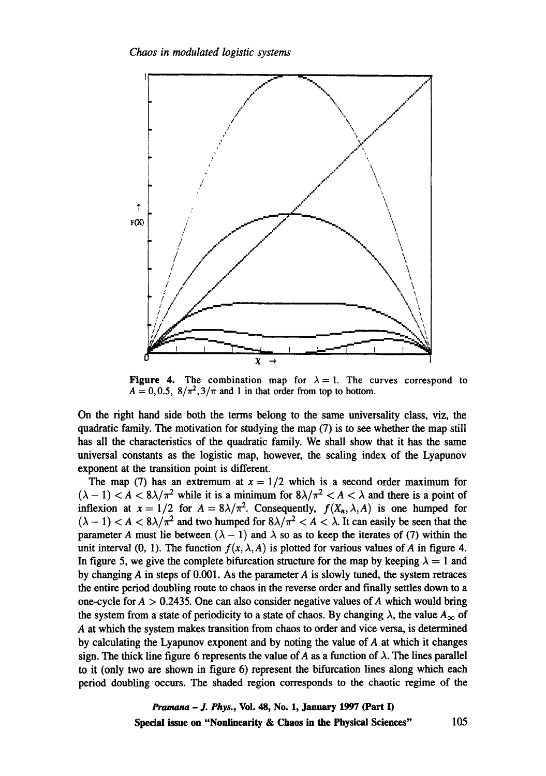

**Figure 4.** The combination map for  $\lambda = 1$ . The curves correspond to  $A = 0, 0.5, 8/\pi^2, 3/\pi$  and 1 in that order from top to bottom.

On the right hand side both the terms belong to the same universality class, viz, the quadratic family. The motivation for studying the map (7) is to see whether the map still has all the characteristics of the quadratic family. We shall show that it has the same universal constants as the logistic map, however, the scaling index of the Lyapunov exponent at the transition point is different.

The map (7) has an extremum at  $x = 1/2$  which is a second order maximum for  $(\lambda - 1) < A < 8\lambda/\pi^2$  while it is a minimum for  $8\lambda/\pi^2 < A < \lambda$  and there is a point of inflexion at  $x = 1/2$  for  $A = 8\lambda/\pi^2$ . Consequently,  $f(X_n, \lambda, A)$  is one humped for  $(\lambda - 1) < A < 8\lambda/\pi^2$  and two humped for  $8\lambda/\pi^2 < A < \lambda$ . It can easily be seen that the parameter A must lie between  $(\lambda - 1)$  and  $\lambda$  so as to keep the iterates of (7) within the unit interval (0, 1). The function  $f(x, \lambda, A)$  is plotted for various values of A in figure 4. In figure 5, we give the complete bifurcation structure for the map by keeping  $\lambda = 1$  and by changing  $A$  in steps of 0.001. As the parameter  $A$  is slowly tuned, the system retraces the entire period doubling route to chaos in the reverse order and finally settles down to a one-cycle for  $A > 0.2435$ . One can also consider negative values of A which would bring the system from a state of periodicity to a state of chaos. By changing  $\lambda$ , the value  $A_{\infty}$  of A at which the system makes transition from chaos to order and vice versa, is determined by calculating the Lyapunov exponent and by noting the value of A at which it changes sign. The thick line figure 6 represents the value of A as a function of  $\lambda$ . The lines parallel to it (only two are shown in figure 6) represent the bifurcation lines along which each period doubling occurs. The shaded region corresponds to the chaotic regime of the

> *Pramana - J. Phys.,* **Vol. 48, No. 1, January 1997 (Part I) Special issue on "Nonlinearity & Chaos in the Physical Sciences"** 105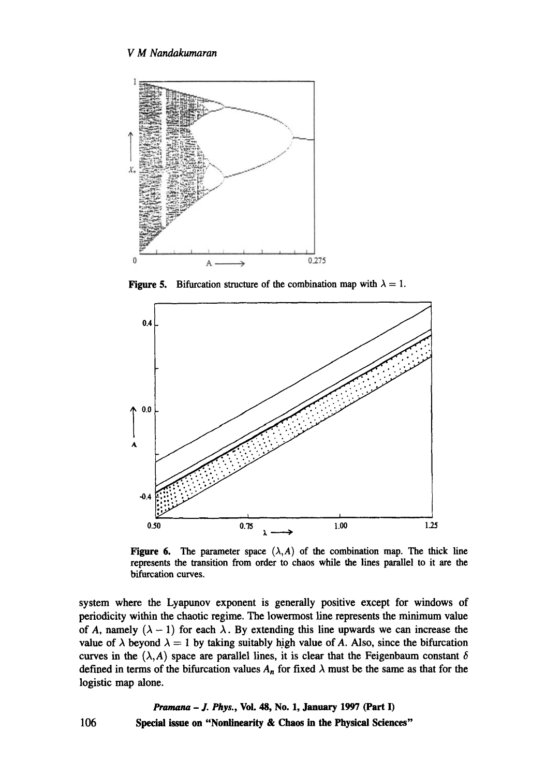

**Figure 5.** Bifurcation structure of the combination map with  $\lambda = 1$ .



Figure 6. The parameter space  $(\lambda, A)$  of the combination map. The thick line represents the transition from order to chaos while the lines parallel to it are the bifurcation curves.

system where the Lyapunov exponent is generally positive except for windows of periodicity within the chaotic regime. The lowermost line represents the minimum value of A, namely  $(\lambda - 1)$  for each  $\lambda$ . By extending this line upwards we can increase the value of  $\lambda$  beyond  $\lambda = 1$  by taking suitably high value of A. Also, since the bifurcation curves in the  $(\lambda, A)$  space are parallel lines, it is clear that the Feigenbaum constant  $\delta$ defined in terms of the bifurcation values  $A_n$  for fixed  $\lambda$  must be the same as that for the logistic map alone.

106 *Pramana - J. Phys.,* Voi. 48, No. 1, January 1997 (Part I) Special issue on "Nonlinearity **& Chaos in the Physical Sciences"**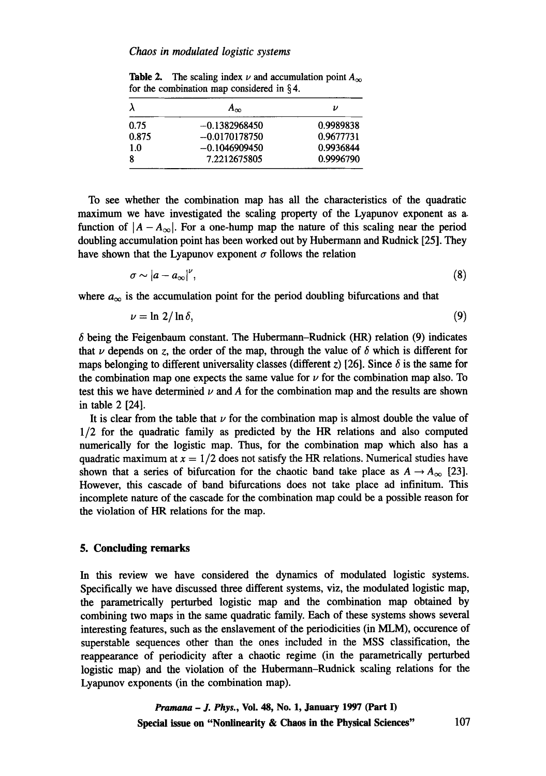| λ     | $A_{\infty}$    | υ         |
|-------|-----------------|-----------|
| 0.75  | $-0.1382968450$ | 0.9989838 |
| 0.875 | $-0.0170178750$ | 0.9677731 |
| 1.0   | $-0.1046909450$ | 0.9936844 |
| 8     | 7.2212675805    | 0.9996790 |
|       |                 |           |

**Table 2.** The scaling index  $\nu$  and accumulation point  $A_{\infty}$ for the combination map considered in § 4.

To see whether the combination map has all the characteristics of the quadratic maximum we have investigated the scaling property of the Lyapunov exponent as a. function of  $|A - A_{\infty}|$ . For a one-hump map the nature of this scaling near the period doubling accumulation point has been worked out by Hubermann and Rudnick [25]. They have shown that the Lyapunov exponent  $\sigma$  follows the relation

$$
\sigma \sim |a - a_{\infty}|^{\nu}, \tag{8}
$$

where  $a_{\infty}$  is the accumulation point for the period doubling bifurcations and that

$$
\nu = \ln 2/\ln \delta, \tag{9}
$$

 $\delta$  being the Feigenbaum constant. The Hubermann-Rudnick (HR) relation (9) indicates that  $\nu$  depends on z, the order of the map, through the value of  $\delta$  which is different for maps belonging to different universality classes (different z) [26]. Since  $\delta$  is the same for the combination map one expects the same value for  $\nu$  for the combination map also. To test this we have determined  $\nu$  and A for the combination map and the results are shown in table 2 [24].

It is clear from the table that  $\nu$  for the combination map is almost double the value of 1/2 for the quadratic family as predicted by the HR relations and also computed numerically for the logistic map. Thus, for the combination map which also has a quadratic maximum at  $x = 1/2$  does not satisfy the HR relations. Numerical studies have shown that a series of bifurcation for the chaotic band take place as  $A \rightarrow A_{\infty}$  [23]. However, this cascade of band bifurcations does not take place ad infinitum. This incomplete nature of the cascade for the combination map could be a possible reason for the violation of HR relations for the map.

## **5. Concluding remarks**

In this review we have considered the dynamics of modulated logistic systems. Specifically we have discussed three different systems, viz, the modulated logistic map, the parametrically perturbed logistic map and the combination map obtained by combining two maps in the same quadratic family. Each of these systems shows several interesting features, such as the enslavement of the periodicities (in MLM), occurence of superstable sequences other than the ones included in the MSS classification, the reappearance of periodicity after a chaotic regime (in the parametrically perturbed logistic map) and the violation of the Hubermann-Rudnick scaling relations for the Lyapunov exponents (in the combination map).